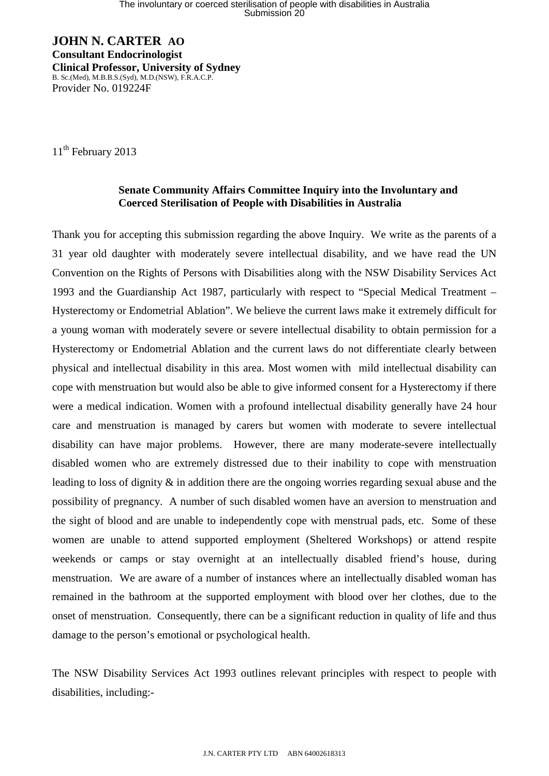**JOHN N. CARTER AO Consultant Endocrinologist Clinical Professor, University of Sydney**  B. Sc.(Med), M.B.B.S.(Syd), M.D.(NSW), F.R.A.C.P. Provider No. 019224F

11<sup>th</sup> February 2013

## **Senate Community Affairs Committee Inquiry into the Involuntary and Coerced Sterilisation of People with Disabilities in Australia**

Thank you for accepting this submission regarding the above Inquiry. We write as the parents of a 31 year old daughter with moderately severe intellectual disability, and we have read the UN Convention on the Rights of Persons with Disabilities along with the NSW Disability Services Act 1993 and the Guardianship Act 1987, particularly with respect to "Special Medical Treatment – Hysterectomy or Endometrial Ablation". We believe the current laws make it extremely difficult for a young woman with moderately severe or severe intellectual disability to obtain permission for a Hysterectomy or Endometrial Ablation and the current laws do not differentiate clearly between physical and intellectual disability in this area. Most women with mild intellectual disability can cope with menstruation but would also be able to give informed consent for a Hysterectomy if there were a medical indication. Women with a profound intellectual disability generally have 24 hour care and menstruation is managed by carers but women with moderate to severe intellectual disability can have major problems. However, there are many moderate-severe intellectually disabled women who are extremely distressed due to their inability to cope with menstruation leading to loss of dignity & in addition there are the ongoing worries regarding sexual abuse and the possibility of pregnancy. A number of such disabled women have an aversion to menstruation and the sight of blood and are unable to independently cope with menstrual pads, etc. Some of these women are unable to attend supported employment (Sheltered Workshops) or attend respite weekends or camps or stay overnight at an intellectually disabled friend's house, during menstruation. We are aware of a number of instances where an intellectually disabled woman has remained in the bathroom at the supported employment with blood over her clothes, due to the onset of menstruation. Consequently, there can be a significant reduction in quality of life and thus damage to the person's emotional or psychological health.

The NSW Disability Services Act 1993 outlines relevant principles with respect to people with disabilities, including:-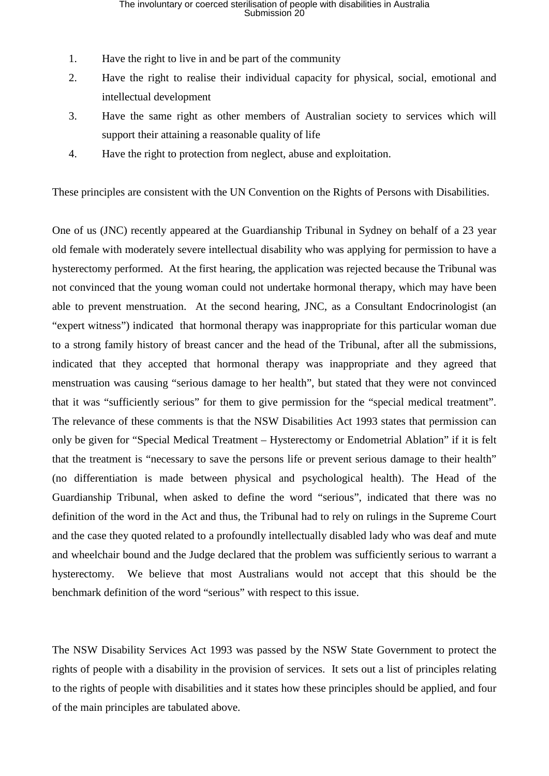- 1. Have the right to live in and be part of the community
- 2. Have the right to realise their individual capacity for physical, social, emotional and intellectual development
- 3. Have the same right as other members of Australian society to services which will support their attaining a reasonable quality of life
- 4. Have the right to protection from neglect, abuse and exploitation.

These principles are consistent with the UN Convention on the Rights of Persons with Disabilities.

One of us (JNC) recently appeared at the Guardianship Tribunal in Sydney on behalf of a 23 year old female with moderately severe intellectual disability who was applying for permission to have a hysterectomy performed. At the first hearing, the application was rejected because the Tribunal was not convinced that the young woman could not undertake hormonal therapy, which may have been able to prevent menstruation. At the second hearing, JNC, as a Consultant Endocrinologist (an "expert witness") indicated that hormonal therapy was inappropriate for this particular woman due to a strong family history of breast cancer and the head of the Tribunal, after all the submissions, indicated that they accepted that hormonal therapy was inappropriate and they agreed that menstruation was causing "serious damage to her health", but stated that they were not convinced that it was "sufficiently serious" for them to give permission for the "special medical treatment". The relevance of these comments is that the NSW Disabilities Act 1993 states that permission can only be given for "Special Medical Treatment – Hysterectomy or Endometrial Ablation" if it is felt that the treatment is "necessary to save the persons life or prevent serious damage to their health" (no differentiation is made between physical and psychological health). The Head of the Guardianship Tribunal, when asked to define the word "serious", indicated that there was no definition of the word in the Act and thus, the Tribunal had to rely on rulings in the Supreme Court and the case they quoted related to a profoundly intellectually disabled lady who was deaf and mute and wheelchair bound and the Judge declared that the problem was sufficiently serious to warrant a hysterectomy. We believe that most Australians would not accept that this should be the benchmark definition of the word "serious" with respect to this issue.

The NSW Disability Services Act 1993 was passed by the NSW State Government to protect the rights of people with a disability in the provision of services. It sets out a list of principles relating to the rights of people with disabilities and it states how these principles should be applied, and four of the main principles are tabulated above.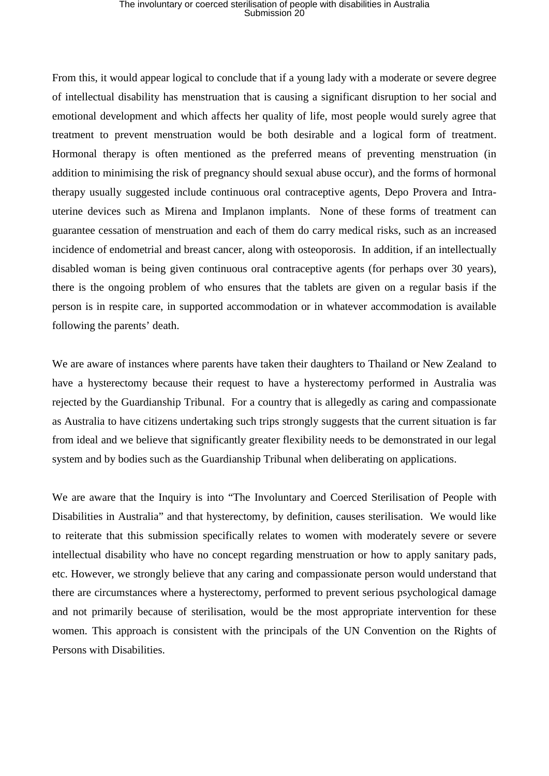## The involuntary or coerced sterilisation of people with disabilities in Australia Submission 20

From this, it would appear logical to conclude that if a young lady with a moderate or severe degree of intellectual disability has menstruation that is causing a significant disruption to her social and emotional development and which affects her quality of life, most people would surely agree that treatment to prevent menstruation would be both desirable and a logical form of treatment. Hormonal therapy is often mentioned as the preferred means of preventing menstruation (in addition to minimising the risk of pregnancy should sexual abuse occur), and the forms of hormonal therapy usually suggested include continuous oral contraceptive agents, Depo Provera and Intrauterine devices such as Mirena and Implanon implants. None of these forms of treatment can guarantee cessation of menstruation and each of them do carry medical risks, such as an increased incidence of endometrial and breast cancer, along with osteoporosis. In addition, if an intellectually disabled woman is being given continuous oral contraceptive agents (for perhaps over 30 years), there is the ongoing problem of who ensures that the tablets are given on a regular basis if the person is in respite care, in supported accommodation or in whatever accommodation is available following the parents' death.

We are aware of instances where parents have taken their daughters to Thailand or New Zealand to have a hysterectomy because their request to have a hysterectomy performed in Australia was rejected by the Guardianship Tribunal. For a country that is allegedly as caring and compassionate as Australia to have citizens undertaking such trips strongly suggests that the current situation is far from ideal and we believe that significantly greater flexibility needs to be demonstrated in our legal system and by bodies such as the Guardianship Tribunal when deliberating on applications.

We are aware that the Inquiry is into "The Involuntary and Coerced Sterilisation of People with Disabilities in Australia" and that hysterectomy, by definition, causes sterilisation. We would like to reiterate that this submission specifically relates to women with moderately severe or severe intellectual disability who have no concept regarding menstruation or how to apply sanitary pads, etc. However, we strongly believe that any caring and compassionate person would understand that there are circumstances where a hysterectomy, performed to prevent serious psychological damage and not primarily because of sterilisation, would be the most appropriate intervention for these women. This approach is consistent with the principals of the UN Convention on the Rights of Persons with Disabilities.